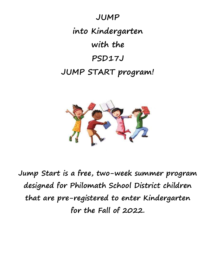



Jump Start is a free, two-week summer program designed for Philomath School District children that are pre-registered to enter Kindergarten for the Fall of 2022.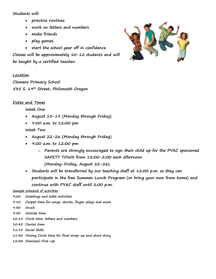### Students will:

- practice routines
- work on letters and numbers
- make friends
- play games

• start the school year off in confidence Classes will be approximately 10-12 students and will be taught by a certified teacher.



#### Location

Clemens Primary School 535 S. 19th Street, Philomath Oregon

# Dates and Times

#### Week One

- August 15-19 (Monday through Friday)
- 9:00 a.m. to 12:00 pm

## Week Two

- August 22-26 (Monday through Friday)
- 9:00 a.m. to 12:00 pm
	- o Parents are strongly encouraged to sign their child up for the PYAC sponsored SAFETY TOWN from 12:00-2:00 each afternoon (Monday-Friday, August 22-26).
- Students will be transferred by our teaching staff at 12:00 p.m. so they can participate in the free Summer Lunch Program (or bring your own from home) and continue with PYAC staff until 2:00 p.m.

#### Sample schedule of activities

- 9:00 Greetings and table activities
- 9:10 Carpet time for songs, stories, finger-plays and more
- 9:30 Snack
- 9:50 Outside time
- 10:15 Circle time, letters and numbers
- 10:45 Center time
- 11:15 Social Skills
- 11:40 Closing Circle time for final wrap-up and short story
- 12:00 Dismissal-Pick-Up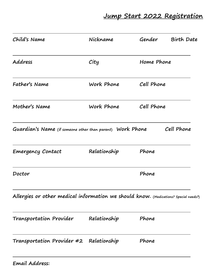Jump Start 2022 Registration

| Child's Name                                                                         | Nickname     | Gender     | <b>Birth Date</b> |
|--------------------------------------------------------------------------------------|--------------|------------|-------------------|
| Address                                                                              | City         | Home Phone |                   |
| Father's Name                                                                        | Work Phone   | Cell Phone |                   |
| Mother's Name                                                                        | Work Phone   | Cell Phone |                   |
| Guardian's Name (if someone other than parent) Work Phone                            |              |            | Cell Phone        |
| <b>Emergency Contact</b>                                                             | Relationship | Phone      |                   |
| Doctor                                                                               |              | Phone      |                   |
| Allergies or other medical information we should know. (Medications? Special needs?) |              |            |                   |
| Transportation Provider                                                              | Relationship | Phone      |                   |
| Transportation Provider #2 Relationship                                              |              | Phone      |                   |